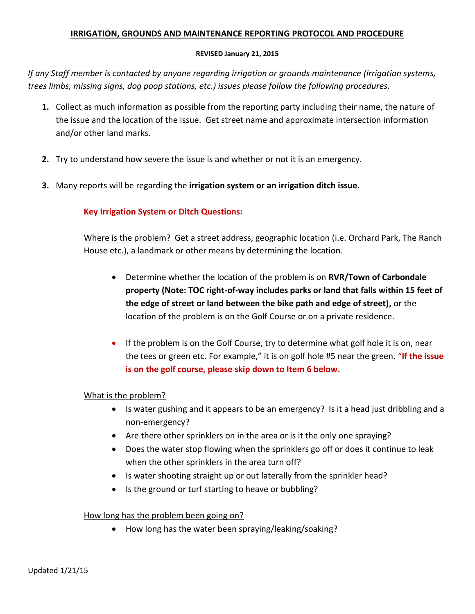### **IRRIGATION, GROUNDS AND MAINTENANCE REPORTING PROTOCOL AND PROCEDURE**

### **REVISED January 21, 2015**

*If any Staff member is contacted by anyone regarding irrigation or grounds maintenance (irrigation systems, trees limbs, missing signs, dog poop stations, etc.) issues please follow the following procedures.*

- **1.** Collect as much information as possible from the reporting party including their name, the nature of the issue and the location of the issue. Get street name and approximate intersection information and/or other land marks.
- **2.** Try to understand how severe the issue is and whether or not it is an emergency.
- **3.** Many reports will be regarding the **irrigation system or an irrigation ditch issue.**

# **Key Irrigation System or Ditch Questions:**

Where is the problem? Get a street address, geographic location (i.e. Orchard Park, The Ranch House etc.), a landmark or other means by determining the location.

- Determine whether the location of the problem is on **RVR/Town of Carbondale property (Note: TOC right-of-way includes parks or land that falls within 15 feet of the edge of street or land between the bike path and edge of street),** or the location of the problem is on the Golf Course or on a private residence.
- If the problem is on the Golf Course, try to determine what golf hole it is on, near the tees or green etc. For example," it is on golf hole #5 near the green. "**If the issue is on the golf course, please skip down to Item 6 below.**

# What is the problem?

- Is water gushing and it appears to be an emergency? Is it a head just dribbling and a non-emergency?
- Are there other sprinklers on in the area or is it the only one spraying?
- Does the water stop flowing when the sprinklers go off or does it continue to leak when the other sprinklers in the area turn off?
- Is water shooting straight up or out laterally from the sprinkler head?
- Is the ground or turf starting to heave or bubbling?

# How long has the problem been going on?

How long has the water been spraying/leaking/soaking?